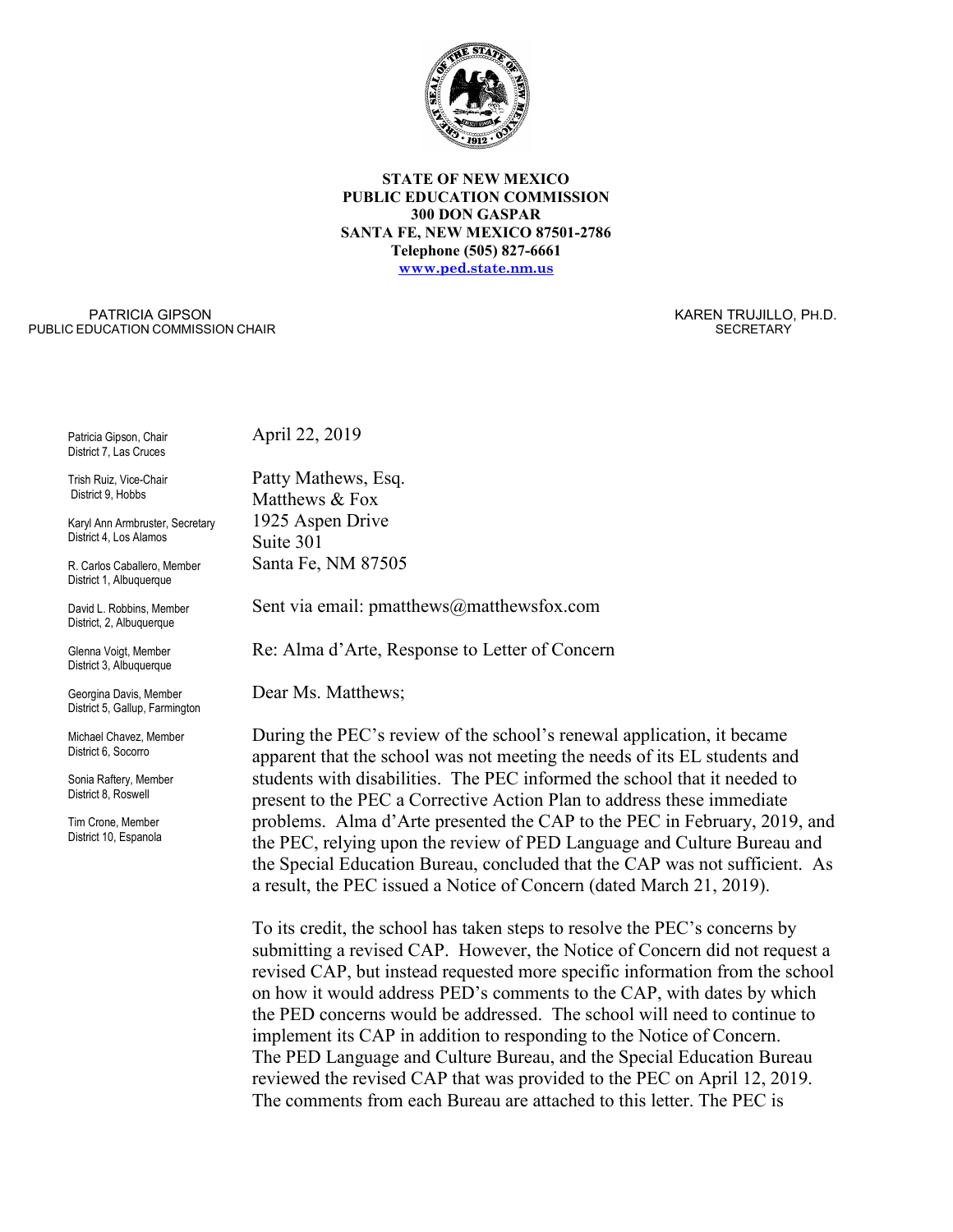

#### **STATE OF NEW MEXICO PUBLIC EDUCATION COMMISSION 300 DON GASPAR SANTA FE, NEW MEXICO 87501-2786 Telephone (505) 827-6661 [www.ped.state.nm.us](http://www.sde.state.nm.us/)**

PATRICIA GIPSON PUBLIC EDUCATION COMMISSION CHAIR  KAREN TRUJILLO, PH.D. **SECRETARY** 

Patricia Gipson, Chair District 7, Las Cruces

Trish Ruiz, Vice-Chair District 9, Hobbs

Karyl Ann Armbruster, Secretary District 4, Los Alamos

R. Carlos Caballero, Member District 1, Albuquerque

David L. Robbins, Member District, 2, Albuquerque

Glenna Voigt, Member District 3, Albuquerque

Georgina Davis, Member District 5, Gallup, Farmington

Michael Chavez, Member District 6, Socorro

Sonia Raftery, Member District 8, Roswell

Tim Crone, Member District 10, Espanola April 22, 2019

Patty Mathews, Esq. Matthews & Fox 1925 Aspen Drive Suite 301 Santa Fe, NM 87505

Sent via email: pmatthews@matthewsfox.com

Re: Alma d'Arte, Response to Letter of Concern

Dear Ms. Matthews;

During the PEC's review of the school's renewal application, it became apparent that the school was not meeting the needs of its EL students and students with disabilities. The PEC informed the school that it needed to present to the PEC a Corrective Action Plan to address these immediate problems. Alma d'Arte presented the CAP to the PEC in February, 2019, and the PEC, relying upon the review of PED Language and Culture Bureau and the Special Education Bureau, concluded that the CAP was not sufficient. As a result, the PEC issued a Notice of Concern (dated March 21, 2019).

To its credit, the school has taken steps to resolve the PEC's concerns by submitting a revised CAP. However, the Notice of Concern did not request a revised CAP, but instead requested more specific information from the school on how it would address PED's comments to the CAP, with dates by which the PED concerns would be addressed. The school will need to continue to implement its CAP in addition to responding to the Notice of Concern. The PED Language and Culture Bureau, and the Special Education Bureau reviewed the revised CAP that was provided to the PEC on April 12, 2019. The comments from each Bureau are attached to this letter. The PEC is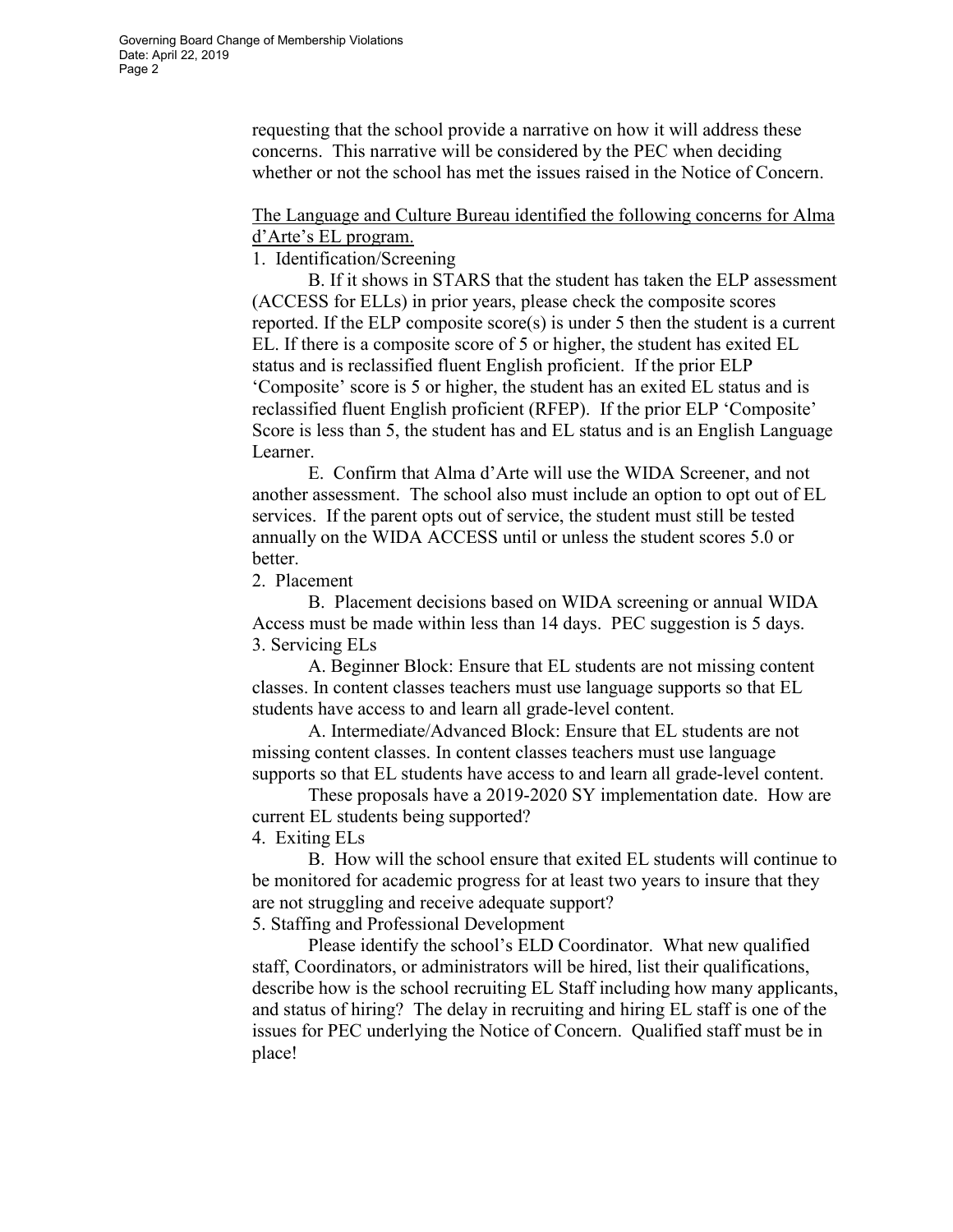requesting that the school provide a narrative on how it will address these concerns. This narrative will be considered by the PEC when deciding whether or not the school has met the issues raised in the Notice of Concern.

## The Language and Culture Bureau identified the following concerns for Alma d'Arte's EL program.

1. Identification/Screening

B. If it shows in STARS that the student has taken the ELP assessment (ACCESS for ELLs) in prior years, please check the composite scores reported. If the ELP composite score(s) is under 5 then the student is a current EL. If there is a composite score of 5 or higher, the student has exited EL status and is reclassified fluent English proficient. If the prior ELP 'Composite' score is 5 or higher, the student has an exited EL status and is reclassified fluent English proficient (RFEP). If the prior ELP 'Composite' Score is less than 5, the student has and EL status and is an English Language Learner.

E. Confirm that Alma d'Arte will use the WIDA Screener, and not another assessment. The school also must include an option to opt out of EL services. If the parent opts out of service, the student must still be tested annually on the WIDA ACCESS until or unless the student scores 5.0 or better.

2. Placement

B. Placement decisions based on WIDA screening or annual WIDA Access must be made within less than 14 days. PEC suggestion is 5 days. 3. Servicing ELs

A. Beginner Block: Ensure that EL students are not missing content classes. In content classes teachers must use language supports so that EL students have access to and learn all grade-level content.

A. Intermediate/Advanced Block: Ensure that EL students are not missing content classes. In content classes teachers must use language supports so that EL students have access to and learn all grade-level content.

These proposals have a 2019-2020 SY implementation date. How are current EL students being supported?

4. Exiting ELs

B. How will the school ensure that exited EL students will continue to be monitored for academic progress for at least two years to insure that they are not struggling and receive adequate support?

5. Staffing and Professional Development

Please identify the school's ELD Coordinator. What new qualified staff, Coordinators, or administrators will be hired, list their qualifications, describe how is the school recruiting EL Staff including how many applicants, and status of hiring? The delay in recruiting and hiring EL staff is one of the issues for PEC underlying the Notice of Concern. Qualified staff must be in place!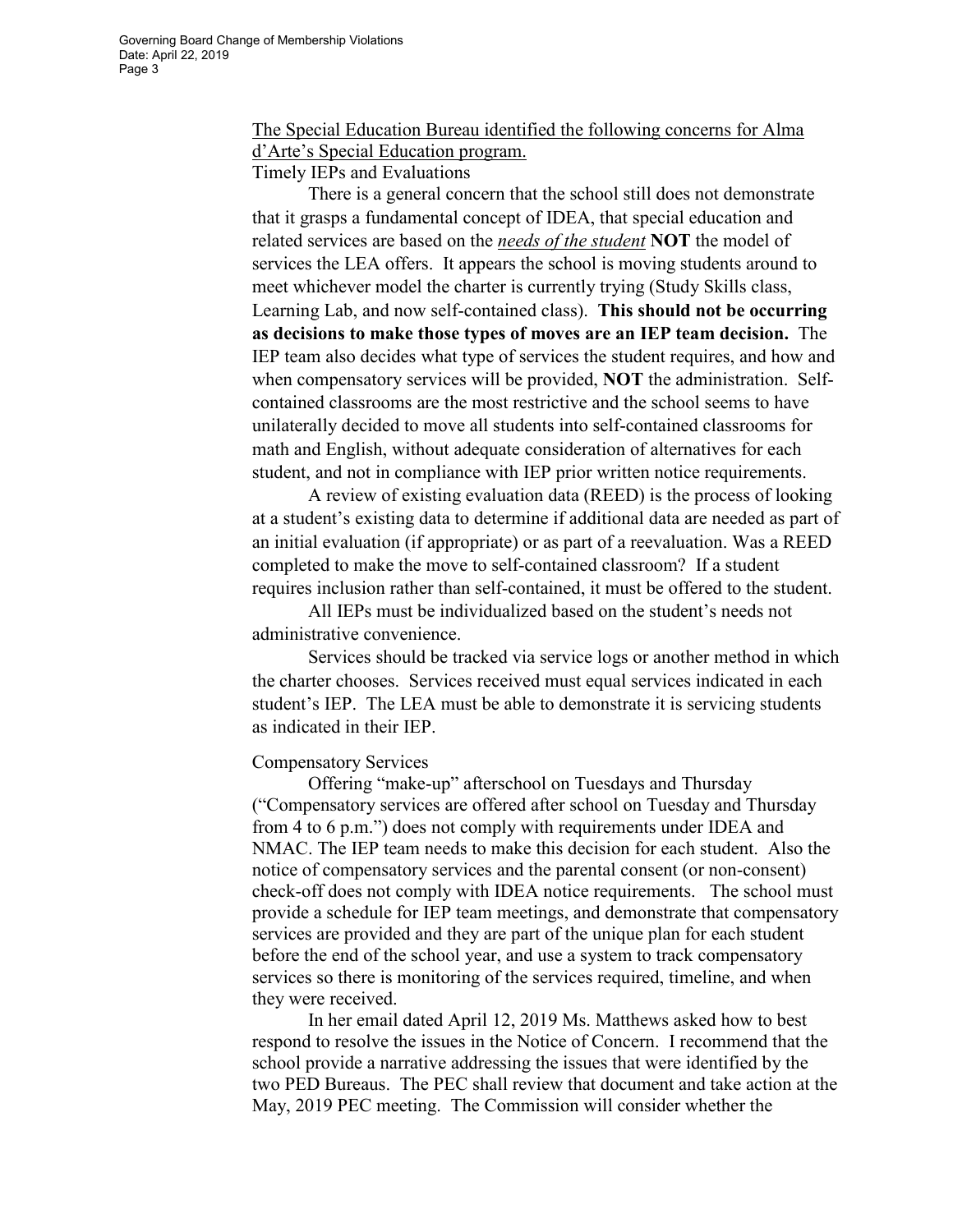# The Special Education Bureau identified the following concerns for Alma d'Arte's Special Education program.

## Timely IEPs and Evaluations

There is a general concern that the school still does not demonstrate that it grasps a fundamental concept of IDEA, that special education and related services are based on the *needs of the student* **NOT** the model of services the LEA offers. It appears the school is moving students around to meet whichever model the charter is currently trying (Study Skills class, Learning Lab, and now self-contained class). **This should not be occurring as decisions to make those types of moves are an IEP team decision.** The IEP team also decides what type of services the student requires, and how and when compensatory services will be provided, **NOT** the administration. Selfcontained classrooms are the most restrictive and the school seems to have unilaterally decided to move all students into self-contained classrooms for math and English, without adequate consideration of alternatives for each student, and not in compliance with IEP prior written notice requirements.

A review of existing evaluation data (REED) is the process of looking at a student's existing data to determine if additional data are needed as part of an initial evaluation (if appropriate) or as part of a reevaluation. Was a REED completed to make the move to self-contained classroom? If a student requires inclusion rather than self-contained, it must be offered to the student.

All IEPs must be individualized based on the student's needs not administrative convenience.

Services should be tracked via service logs or another method in which the charter chooses. Services received must equal services indicated in each student's IEP. The LEA must be able to demonstrate it is servicing students as indicated in their IEP.

### Compensatory Services

Offering "make-up" afterschool on Tuesdays and Thursday ("Compensatory services are offered after school on Tuesday and Thursday from 4 to 6 p.m.") does not comply with requirements under IDEA and NMAC. The IEP team needs to make this decision for each student. Also the notice of compensatory services and the parental consent (or non-consent) check-off does not comply with IDEA notice requirements. The school must provide a schedule for IEP team meetings, and demonstrate that compensatory services are provided and they are part of the unique plan for each student before the end of the school year, and use a system to track compensatory services so there is monitoring of the services required, timeline, and when they were received.

In her email dated April 12, 2019 Ms. Matthews asked how to best respond to resolve the issues in the Notice of Concern. I recommend that the school provide a narrative addressing the issues that were identified by the two PED Bureaus. The PEC shall review that document and take action at the May, 2019 PEC meeting. The Commission will consider whether the